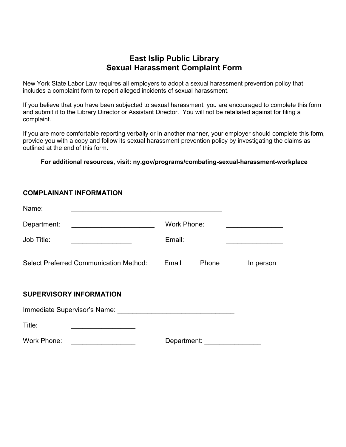## **East Islip Public Library Sexual Harassment Complaint Form**

New York State Labor Law requires all employers to adopt a sexual harassment prevention policy that includes a complaint form to report alleged incidents of sexual harassment.

If you believe that you have been subjected to sexual harassment, you are encouraged to complete this form and submit it to the Library Director or Assistant Director. You will not be retaliated against for filing a complaint.

If you are more comfortable reporting verbally or in another manner, your employer should complete this form, provide you with a copy and follow its sexual harassment prevention policy by investigating the claims as outlined at the end of this form.

**For additional resources, visit: ny.gov/programs/combating-sexual-harassment-workplace**

## **COMPLAINANT INFORMATION**

| Name:                                         |                |           |  |  |  |
|-----------------------------------------------|----------------|-----------|--|--|--|
| Department:                                   | Work Phone:    |           |  |  |  |
| Job Title:                                    | Email:         |           |  |  |  |
| <b>Select Preferred Communication Method:</b> | Email<br>Phone | In person |  |  |  |
| <b>SUPERVISORY INFORMATION</b>                |                |           |  |  |  |
| Immediate Supervisor's Name:                  |                |           |  |  |  |
| Title:                                        |                |           |  |  |  |
| <b>Work Phone:</b>                            | Department:    |           |  |  |  |